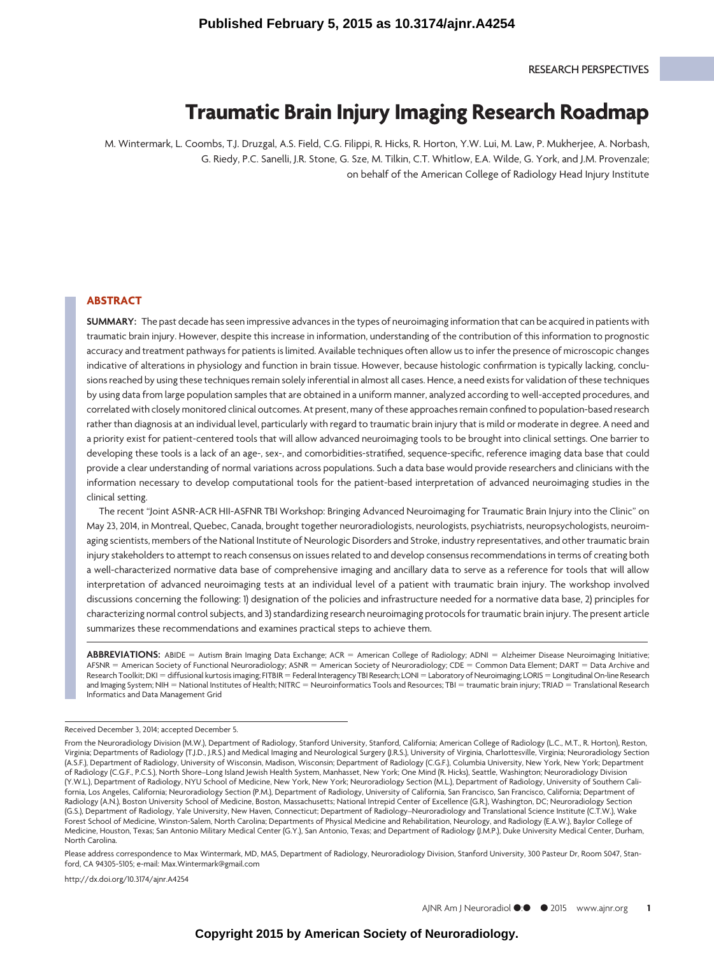# **Traumatic Brain Injury Imaging Research Roadmap**

M. Wintermark, L. Coombs, T.J. Druzgal, A.S. Field, C.G. Filippi, R. Hicks, R. Horton, Y.W. Lui, M. Law, P. Mukherjee, A. Norbash, G. Riedy, P.C. Sanelli, J.R. Stone, G. Sze, M. Tilkin, C.T. Whitlow, E.A. Wilde, G. York, and J.M. Provenzale; on behalf of the American College of Radiology Head Injury Institute

## **ABSTRACT**

**SUMMARY:** The past decade has seen impressive advances in the types of neuroimaging information that can be acquired in patients with traumatic brain injury. However, despite this increase in information, understanding of the contribution of this information to prognostic accuracy and treatment pathways for patients is limited. Available techniques often allow us to infer the presence of microscopic changes indicative of alterations in physiology and function in brain tissue. However, because histologic confirmation is typically lacking, conclusions reached by using these techniques remain solely inferential in almost all cases. Hence, a need exists for validation of these techniques by using data from large population samples that are obtained in a uniform manner, analyzed according to well-accepted procedures, and correlated with closely monitored clinical outcomes. At present, many of these approaches remain confined to population-based research rather than diagnosis at an individual level, particularly with regard to traumatic brain injury that is mild or moderate in degree. A need and a priority exist for patient-centered tools that will allow advanced neuroimaging tools to be brought into clinical settings. One barrier to developing these tools is a lack of an age-, sex-, and comorbidities-stratified, sequence-specific, reference imaging data base that could provide a clear understanding of normal variations across populations. Such a data base would provide researchers and clinicians with the information necessary to develop computational tools for the patient-based interpretation of advanced neuroimaging studies in the clinical setting.

The recent "Joint ASNR-ACR HII-ASFNR TBI Workshop: Bringing Advanced Neuroimaging for Traumatic Brain Injury into the Clinic" on May 23, 2014, in Montreal, Quebec, Canada, brought together neuroradiologists, neurologists, psychiatrists, neuropsychologists, neuroimaging scientists, members of the National Institute of Neurologic Disorders and Stroke, industry representatives, and other traumatic brain injury stakeholders to attempt to reach consensus on issues related to and develop consensus recommendations in terms of creating both a well-characterized normative data base of comprehensive imaging and ancillary data to serve as a reference for tools that will allow interpretation of advanced neuroimaging tests at an individual level of a patient with traumatic brain injury. The workshop involved discussions concerning the following: 1) designation of the policies and infrastructure needed for a normative data base, 2) principles for characterizing normal control subjects, and 3) standardizing research neuroimaging protocols for traumatic brain injury. The present article summarizes these recommendations and examines practical steps to achieve them.

ABBREVIATIONS: ABIDE = Autism Brain Imaging Data Exchange; ACR = American College of Radiology; ADNI = Alzheimer Disease Neuroimaging Initiative; AFSNR = American Society of Functional Neuroradiology; ASNR = American Society of Neuroradiology; CDE = Common Data Element; DART = Data Archive and Research Toolkit; DKI = diffusional kurtosis imaging; FITBIR = Federal Interagency TBI Research; LONI = Laboratory of Neuroimaging; LORIS = Longitudinal On-line Research and Imaging System; NIH = National Institutes of Health; NITRC = Neuroinformatics Tools and Resources; TBI = traumatic brain injury; TRIAD = Translational Research Informatics and Data Management Grid

Please address correspondence to Max Wintermark, MD, MAS, Department of Radiology, Neuroradiology Division, Stanford University, 300 Pasteur Dr, Room S047, Stanford, CA 94305-5105; e-mail: Max.Wintermark@gmail.com

http://dx.doi.org/10.3174/ajnr.A4254

Received December 3, 2014; accepted December 5.

From the Neuroradiology Division (M.W.), Department of Radiology, Stanford University, Stanford, California; American College of Radiology (L.C., M.T., R. Horton), Reston, Virginia; Departments of Radiology (T.J.D., J.R.S.) and Medical Imaging and Neurological Surgery (J.R.S.), University of Virginia, Charlottesville, Virginia; Neuroradiology Section (A.S.F.), Department of Radiology, University of Wisconsin, Madison, Wisconsin; Department of Radiology (C.G.F.), Columbia University, New York, New York; Department of Radiology (C.G.F., P.C.S.), North Shore–Long Island Jewish Health System, Manhasset, New York; One Mind (R. Hicks), Seattle, Washington; Neuroradiology Division (Y.W.L.), Department of Radiology, NYU School of Medicine, New York, New York; Neuroradiology Section (M.L.), Department of Radiology, University of Southern California, Los Angeles, California; Neuroradiology Section (P.M.), Department of Radiology, University of California, San Francisco, San Francisco, California; Department of Radiology (A.N.), Boston University School of Medicine, Boston, Massachusetts; National Intrepid Center of Excellence (G.R.), Washington, DC; Neuroradiology Section (G.S.), Department of Radiology, Yale University, New Haven, Connecticut; Department of Radiology–Neuroradiology and Translational Science Institute (C.T.W.), Wake Forest School of Medicine, Winston-Salem, North Carolina; Departments of Physical Medicine and Rehabilitation, Neurology, and Radiology (E.A.W.), Baylor College of Medicine, Houston, Texas; San Antonio Military Medical Center (G.Y.), San Antonio, Texas; and Department of Radiology (J.M.P.), Duke University Medical Center, Durham, North Carolina.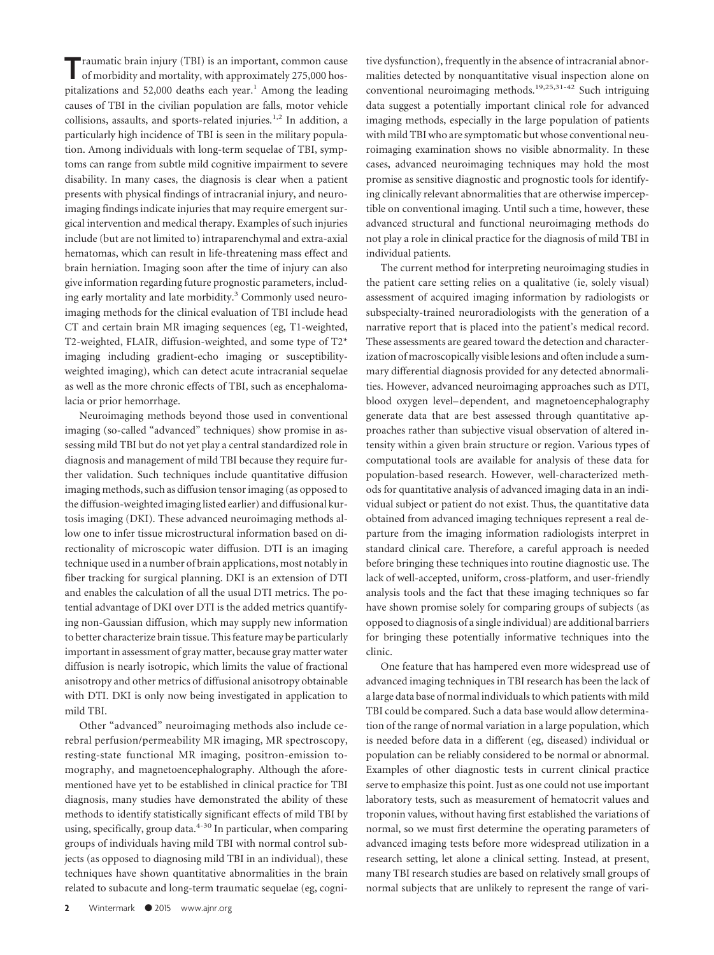**T**raumatic brain injury (TBI) is an important, common cause of morbidity and mortality, with approximately 275,000 hospitalizations and 52,000 deaths each year.<sup>1</sup> Among the leading causes of TBI in the civilian population are falls, motor vehicle collisions, assaults, and sports-related injuries.<sup>1,2</sup> In addition, a particularly high incidence of TBI is seen in the military population. Among individuals with long-term sequelae of TBI, symptoms can range from subtle mild cognitive impairment to severe disability. In many cases, the diagnosis is clear when a patient presents with physical findings of intracranial injury, and neuroimaging findings indicate injuries that may require emergent surgical intervention and medical therapy. Examples of such injuries include (but are not limited to) intraparenchymal and extra-axial hematomas, which can result in life-threatening mass effect and brain herniation. Imaging soon after the time of injury can also give information regarding future prognostic parameters, including early mortality and late morbidity.<sup>3</sup> Commonly used neuroimaging methods for the clinical evaluation of TBI include head CT and certain brain MR imaging sequences (eg, T1-weighted, T2-weighted, FLAIR, diffusion-weighted, and some type of T2\* imaging including gradient-echo imaging or susceptibilityweighted imaging), which can detect acute intracranial sequelae as well as the more chronic effects of TBI, such as encephalomalacia or prior hemorrhage.

Neuroimaging methods beyond those used in conventional imaging (so-called "advanced" techniques) show promise in assessing mild TBI but do not yet play a central standardized role in diagnosis and management of mild TBI because they require further validation. Such techniques include quantitative diffusion imaging methods, such as diffusion tensor imaging (as opposed to the diffusion-weighted imaging listed earlier) and diffusional kurtosis imaging (DKI). These advanced neuroimaging methods allow one to infer tissue microstructural information based on directionality of microscopic water diffusion. DTI is an imaging technique used in a number of brain applications, most notably in fiber tracking for surgical planning. DKI is an extension of DTI and enables the calculation of all the usual DTI metrics. The potential advantage of DKI over DTI is the added metrics quantifying non-Gaussian diffusion, which may supply new information to better characterize brain tissue. This feature may be particularly important in assessment of gray matter, because gray matter water diffusion is nearly isotropic, which limits the value of fractional anisotropy and other metrics of diffusional anisotropy obtainable with DTI. DKI is only now being investigated in application to mild TBI.

Other "advanced" neuroimaging methods also include cerebral perfusion/permeability MR imaging, MR spectroscopy, resting-state functional MR imaging, positron-emission tomography, and magnetoencephalography. Although the aforementioned have yet to be established in clinical practice for TBI diagnosis, many studies have demonstrated the ability of these methods to identify statistically significant effects of mild TBI by using, specifically, group data.<sup>4-30</sup> In particular, when comparing groups of individuals having mild TBI with normal control subjects (as opposed to diagnosing mild TBI in an individual), these techniques have shown quantitative abnormalities in the brain related to subacute and long-term traumatic sequelae (eg, cogni-

**2** Wintermark ● 2015 www.ajnr.org

tive dysfunction), frequently in the absence of intracranial abnormalities detected by nonquantitative visual inspection alone on conventional neuroimaging methods.<sup>19,25,31-42</sup> Such intriguing data suggest a potentially important clinical role for advanced imaging methods, especially in the large population of patients with mild TBI who are symptomatic but whose conventional neuroimaging examination shows no visible abnormality. In these cases, advanced neuroimaging techniques may hold the most promise as sensitive diagnostic and prognostic tools for identifying clinically relevant abnormalities that are otherwise imperceptible on conventional imaging. Until such a time, however, these advanced structural and functional neuroimaging methods do not play a role in clinical practice for the diagnosis of mild TBI in individual patients.

The current method for interpreting neuroimaging studies in the patient care setting relies on a qualitative (ie, solely visual) assessment of acquired imaging information by radiologists or subspecialty-trained neuroradiologists with the generation of a narrative report that is placed into the patient's medical record. These assessments are geared toward the detection and characterization of macroscopically visible lesions and often include a summary differential diagnosis provided for any detected abnormalities. However, advanced neuroimaging approaches such as DTI, blood oxygen level– dependent, and magnetoencephalography generate data that are best assessed through quantitative approaches rather than subjective visual observation of altered intensity within a given brain structure or region. Various types of computational tools are available for analysis of these data for population-based research. However, well-characterized methods for quantitative analysis of advanced imaging data in an individual subject or patient do not exist. Thus, the quantitative data obtained from advanced imaging techniques represent a real departure from the imaging information radiologists interpret in standard clinical care. Therefore, a careful approach is needed before bringing these techniques into routine diagnostic use. The lack of well-accepted, uniform, cross-platform, and user-friendly analysis tools and the fact that these imaging techniques so far have shown promise solely for comparing groups of subjects (as opposed to diagnosis of a single individual) are additional barriers for bringing these potentially informative techniques into the clinic.

One feature that has hampered even more widespread use of advanced imaging techniques in TBI research has been the lack of a large data base of normal individuals to which patients with mild TBI could be compared. Such a data base would allow determination of the range of normal variation in a large population, which is needed before data in a different (eg, diseased) individual or population can be reliably considered to be normal or abnormal. Examples of other diagnostic tests in current clinical practice serve to emphasize this point. Just as one could not use important laboratory tests, such as measurement of hematocrit values and troponin values, without having first established the variations of normal, so we must first determine the operating parameters of advanced imaging tests before more widespread utilization in a research setting, let alone a clinical setting. Instead, at present, many TBI research studies are based on relatively small groups of normal subjects that are unlikely to represent the range of vari-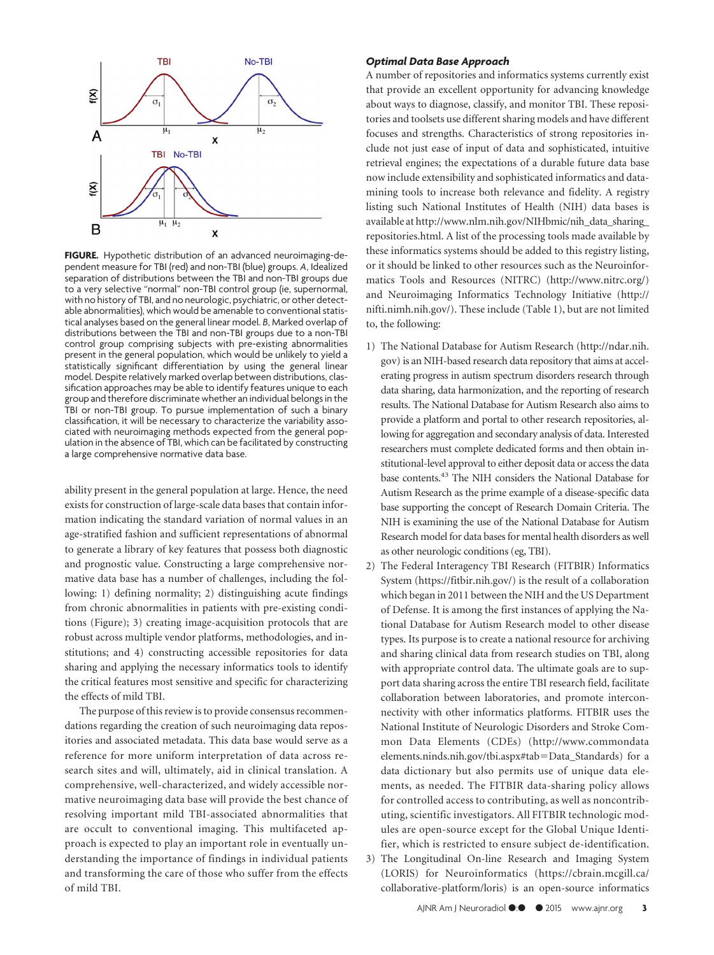

**FIGURE.** Hypothetic distribution of an advanced neuroimaging-dependent measure for TBI (red) and non-TBI (blue) groups. *A*, Idealized separation of distributions between the TBI and non-TBI groups due to a very selective "normal" non-TBI control group (ie, supernormal, with no history of TBI, and no neurologic, psychiatric, or other detectable abnormalities), which would be amenable to conventional statistical analyses based on the general linear model. *B*, Marked overlap of distributions between the TBI and non-TBI groups due to a non-TBI control group comprising subjects with pre-existing abnormalities present in the general population, which would be unlikely to yield a statistically significant differentiation by using the general linear model. Despite relatively marked overlap between distributions, classification approaches may be able to identify features unique to each group and therefore discriminate whether an individual belongs in the TBI or non-TBI group. To pursue implementation of such a binary classification, it will be necessary to characterize the variability associated with neuroimaging methods expected from the general population in the absence of TBI, which can be facilitated by constructing a large comprehensive normative data base.

ability present in the general population at large. Hence, the need exists for construction of large-scale data bases that contain information indicating the standard variation of normal values in an age-stratified fashion and sufficient representations of abnormal to generate a library of key features that possess both diagnostic and prognostic value. Constructing a large comprehensive normative data base has a number of challenges, including the following: 1) defining normality; 2) distinguishing acute findings from chronic abnormalities in patients with pre-existing conditions (Figure); 3) creating image-acquisition protocols that are robust across multiple vendor platforms, methodologies, and institutions; and 4) constructing accessible repositories for data sharing and applying the necessary informatics tools to identify the critical features most sensitive and specific for characterizing the effects of mild TBI.

The purpose of this review is to provide consensus recommendations regarding the creation of such neuroimaging data repositories and associated metadata. This data base would serve as a reference for more uniform interpretation of data across research sites and will, ultimately, aid in clinical translation. A comprehensive, well-characterized, and widely accessible normative neuroimaging data base will provide the best chance of resolving important mild TBI-associated abnormalities that are occult to conventional imaging. This multifaceted approach is expected to play an important role in eventually understanding the importance of findings in individual patients and transforming the care of those who suffer from the effects of mild TBI.

## *Optimal Data Base Approach*

A number of repositories and informatics systems currently exist that provide an excellent opportunity for advancing knowledge about ways to diagnose, classify, and monitor TBI. These repositories and toolsets use different sharing models and have different focuses and strengths. Characteristics of strong repositories include not just ease of input of data and sophisticated, intuitive retrieval engines; the expectations of a durable future data base now include extensibility and sophisticated informatics and datamining tools to increase both relevance and fidelity. A registry listing such National Institutes of Health (NIH) data bases is available at [http://www.nlm.nih.gov/NIHbmic/nih\\_data\\_sharing\\_](http://www.nlm.nih.gov/NIHbmic/nih_data_sharing_repositories.html) [repositories.html.](http://www.nlm.nih.gov/NIHbmic/nih_data_sharing_repositories.html) A list of the processing tools made available by these informatics systems should be added to this registry listing, or it should be linked to other resources such as the Neuroinformatics Tools and Resources (NITRC) (http://www.nitrc.org/) and Neuroimaging Informatics Technology Initiative [\(http://](http://nifti.nimh.nih.gov/) [nifti.nimh.nih.gov/\)](http://nifti.nimh.nih.gov/). These include (Table 1), but are not limited to, the following:

- 1) The National Database for Autism Research [\(http://ndar.nih.](http://ndar.nih.gov) [gov\)](http://ndar.nih.gov) is an NIH-based research data repository that aims at accelerating progress in autism spectrum disorders research through data sharing, data harmonization, and the reporting of research results. The National Database for Autism Research also aims to provide a platform and portal to other research repositories, allowing for aggregation and secondary analysis of data. Interested researchers must complete dedicated forms and then obtain institutional-level approval to either deposit data or access the data base contents.43 The NIH considers the National Database for Autism Research as the prime example of a disease-specific data base supporting the concept of Research Domain Criteria. The NIH is examining the use of the National Database for Autism Research model for data bases for mental health disorders as well as other neurologic conditions (eg, TBI).
- 2) The Federal Interagency TBI Research (FITBIR) Informatics System (https://fitbir.nih.gov/) is the result of a collaboration which began in 2011 between the NIH and the US Department of Defense. It is among the first instances of applying the National Database for Autism Research model to other disease types. Its purpose is to create a national resource for archiving and sharing clinical data from research studies on TBI, along with appropriate control data. The ultimate goals are to support data sharing across the entire TBI research field, facilitate collaboration between laboratories, and promote interconnectivity with other informatics platforms. FITBIR uses the National Institute of Neurologic Disorders and Stroke Common Data Elements (CDEs) [\(http://www.commondata](http://www.commondataelements.ninds.nih.gov/tbi.aspx#tab=Data_Standards) [elements.ninds.nih.gov/tbi.aspx#tab](http://www.commondataelements.ninds.nih.gov/tbi.aspx#tab=Data_Standards)-Data\_Standards) for a data dictionary but also permits use of unique data elements, as needed. The FITBIR data-sharing policy allows for controlled access to contributing, as well as noncontributing, scientific investigators. All FITBIR technologic modules are open-source except for the Global Unique Identifier, which is restricted to ensure subject de-identification.
- 3) The Longitudinal On-line Research and Imaging System (LORIS) for Neuroinformatics [\(https://cbrain.mcgill.ca/](https://cbrain.mcgill.ca/collaborative-platform/loris) [collaborative-platform/loris\)](https://cbrain.mcgill.ca/collaborative-platform/loris) is an open-source informatics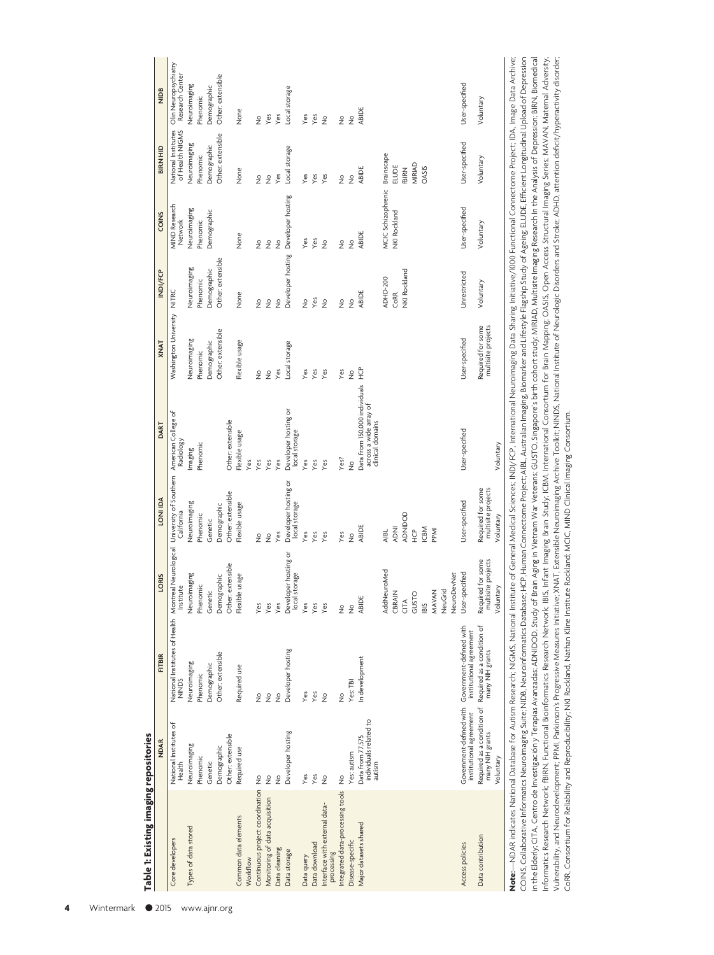|                                             | <b>NDAR</b>                                          | <b>FITBIR</b>                                                                                           | <b>LORIS</b>                            | LONI IDA                                | DART                                                                            | XNAT                                    | INDI/FCP          | COINS                           | BIRN HID                               | <b>Rank</b>                             |
|---------------------------------------------|------------------------------------------------------|---------------------------------------------------------------------------------------------------------|-----------------------------------------|-----------------------------------------|---------------------------------------------------------------------------------|-----------------------------------------|-------------------|---------------------------------|----------------------------------------|-----------------------------------------|
| Core developers                             | National Institutes of<br>Health                     | National Institutes of Health Montreal Neurological University of Southern American College of<br>NINDS | Institute                               | California                              | Radiology                                                                       | Washington University NITRC             |                   | <b>MIND Research</b><br>Network | National Institutes<br>of Health NIGMS | Olin Neuropsychiatry<br>Research Center |
| Types of data stored                        | Neuroimaging                                         | Neuroimaging                                                                                            | Neuroimaging                            | Neuroimaging                            | Imaging                                                                         | Veuroimaging                            | Neuroimaging      | Neuroimaging                    | Neuroimaging                           | Neuroimaging                            |
|                                             | Phenomic                                             | Phenomic                                                                                                | Phenomic                                | Phenomic                                | Phenomic                                                                        | Phenomic                                | Phenomic          | Phenomic                        | Phenomic                               | Phenomic                                |
|                                             | Genetic                                              | Demographic                                                                                             | Genetic                                 | Genetic                                 |                                                                                 | Demographic                             | Demographic       | Demographic                     | Demographic                            | Demographic                             |
|                                             | Demographic                                          | Other: extensible                                                                                       | Demographic                             | Demographic                             |                                                                                 | Other: extensible                       | Other: extensible |                                 | Other: extensible                      | Other: extensible                       |
|                                             | Other: extensible                                    |                                                                                                         | Other: extensible                       | Other: extensible                       | Other: extensible                                                               |                                         |                   |                                 |                                        |                                         |
| Common data elements                        | Required use                                         | Required use                                                                                            | Flexible usage                          | Flexible usage                          | Flexible usage                                                                  | Flexible usage                          | None              | None                            | None                                   | None                                    |
| Workflow                                    |                                                      |                                                                                                         |                                         |                                         | Yes                                                                             |                                         |                   |                                 |                                        |                                         |
| Continuous project coordination             | $\frac{1}{2}$                                        | $\frac{1}{2}$                                                                                           | š                                       | $\frac{1}{2}$                           | Yes                                                                             | $\frac{9}{2}$                           | ż                 | ş                               | $\frac{1}{2}$                          | $\frac{1}{2}$                           |
| Monitoring of data acquisition              | $\frac{1}{2}$                                        | $\frac{1}{2}$                                                                                           | Yes                                     | $\frac{1}{2}$                           | Yes                                                                             | $\frac{9}{2}$                           | $\frac{9}{2}$     | $\frac{1}{2}$                   | $\frac{9}{2}$                          | Yes                                     |
| Data cleaning                               | $\frac{1}{2}$                                        | $\frac{9}{2}$                                                                                           | Yes                                     | Yes                                     | Yes                                                                             | Yes                                     | $\frac{9}{2}$     | $\frac{9}{2}$                   | Yes                                    | Yes                                     |
| Data storage                                | Developer hosting                                    | Developer hosting                                                                                       | Developer hosting or<br>local storage   | Developer hosting or<br>local storage   | Developer hosting or<br>local storage                                           | Local storage                           | Developer hosting | Developer hosting               | Local storage                          | Local storage                           |
| Data query                                  | Yes                                                  | Yes                                                                                                     | Χes                                     | Yes                                     | Yes                                                                             | Yes                                     | $\frac{1}{2}$     | Yes                             | Yes                                    | Yes                                     |
| Data download                               | Yes                                                  | Yes                                                                                                     | Yes                                     | Yes                                     | Yes                                                                             | Yes                                     | Yes               | Yes                             | Yes                                    | Yes                                     |
| Interface with external data-<br>processing | $\frac{6}{2}$                                        | $\frac{1}{2}$                                                                                           | Yes                                     | Yes                                     | Yes                                                                             | Yes                                     | $\frac{6}{2}$     | $\frac{6}{2}$                   | Yes                                    | $\frac{1}{2}$                           |
| Integrated data-processing tools            | $\frac{1}{2}$                                        | $\frac{9}{2}$                                                                                           | $\frac{1}{2}$                           | Yes                                     | Yes?                                                                            | Yes                                     | ž                 | $\frac{9}{2}$                   | $\frac{1}{2}$                          | $\frac{1}{2}$                           |
| Disease-specific                            | Yes: autism                                          | Yes: TBI                                                                                                | $\frac{0}{2}$                           | $\frac{9}{2}$                           | $\frac{1}{2}$                                                                   | $\frac{1}{2}$                           | $\frac{9}{2}$     | $\frac{9}{2}$                   | $\frac{9}{2}$                          | $\frac{6}{2}$                           |
| Major datasets shared                       | individuals related to<br>Data from 77,575<br>autism | In development                                                                                          | <b>ABIDE</b>                            | ABIDE                                   | Data from 150,000 individuals HCP<br>across a wide array of<br>clinical domains |                                         | <b>ABIDE</b>      | ABIDE                           | <b>ABIDE</b>                           | <b>ABIDE</b>                            |
|                                             |                                                      |                                                                                                         | AddNeuroMed                             | <b>AIBL</b>                             |                                                                                 |                                         | ADHD-200          | MCIC Schizophrenic              | Brainscape                             |                                         |
|                                             |                                                      |                                                                                                         | CBRAIN                                  | <b>NOW</b>                              |                                                                                 |                                         | CoRR              | NKI Rockland                    | ELUDE                                  |                                         |
|                                             |                                                      |                                                                                                         |                                         |                                         |                                                                                 |                                         |                   |                                 |                                        |                                         |
|                                             |                                                      |                                                                                                         | <b>CITA</b>                             | <b>ADNIDOD</b>                          |                                                                                 |                                         | NKI Rockland      |                                 | <b>FBIRN</b>                           |                                         |
|                                             |                                                      |                                                                                                         | GUSTO                                   | ğ                                       |                                                                                 |                                         |                   |                                 | MIRIAD                                 |                                         |
|                                             |                                                      |                                                                                                         | <b>IBIS</b>                             | <b>ICBM</b>                             |                                                                                 |                                         |                   |                                 | <b>OASIS</b>                           |                                         |
|                                             |                                                      |                                                                                                         | MAVAN                                   | PPMI                                    |                                                                                 |                                         |                   |                                 |                                        |                                         |
|                                             |                                                      |                                                                                                         | NeuGrid                                 |                                         |                                                                                 |                                         |                   |                                 |                                        |                                         |
|                                             |                                                      |                                                                                                         | NeuroDevNet                             |                                         |                                                                                 |                                         |                   |                                 |                                        |                                         |
| Access policies                             | Government-defined with<br>institutional agreement   | Government-defined with<br>institutional agreement                                                      | User-specified                          | User-specified                          | User-specified                                                                  | User-specified                          | Unrestricted      | User-specified                  | User-specified                         | User-specified                          |
| Data contribution                           | Required as a condition of<br>many NIH grants        | Required as a condition of<br>many NIH grants                                                           | multisite projects<br>Required for some | Required for some<br>multisite projects |                                                                                 | multisite projects<br>Required for some | Voluntary         | Voluntary                       | Voluntary                              | Voluntary                               |
|                                             | Voluntary                                            |                                                                                                         | Voluntary                               | Voluntary                               | Voluntary                                                                       |                                         |                   |                                 |                                        |                                         |

Informatics Research Network; fBIRN, Functional Bioinformatics Research Network; IBIS, Infant maging Bain Study; ICBM, International Consortium for Brain Mapping; OASIS, Open Access Structural Imaging Series; MAVAN, Matern in the Elderly, CITA, Centro de Investigación y Terapias Avanzadas; ADNIDO, Study of Brain Aging in Weterans; GUSTO, Singapore's birth cohort study; MIRIAD, Multisite Imaging Research In the Analysis of Depression; BIRN, B in the Elderly, CITA, Centro de Investigación y Terapias ApunDoD, Study of Brain Aging in Weitenam War Veterans,GUSTO, Singapore's birth cohort study; MIRIAD, Multisite Imaging Research In the Analysis of Depression; BIRN, nformatics Research Network; fBIRN, Functional Bioinformatics Research Network; IBIS, Infant Imaging Brain Study; ICBM, International Consortium for Brain Mapping; OASIS, Open Access Structural Imaging Series; MAVAN, Mater Vulnerability, and Neurodevelopment; PPMI, Parkinson's Progressive Measures Measures MAK: NND; National Institute of Meurologic Disorders and Stroke; ADHD, attention deficit/hyperactivity disorder:

CoRR, Consortium for Reliability and Reproducibility; NKI Rockland, Nathan Kline Institute Rockland; MCIC, MIND Clinical Imaging Consortium.

## **4** Wintermark ● 2015 www.ajnr.org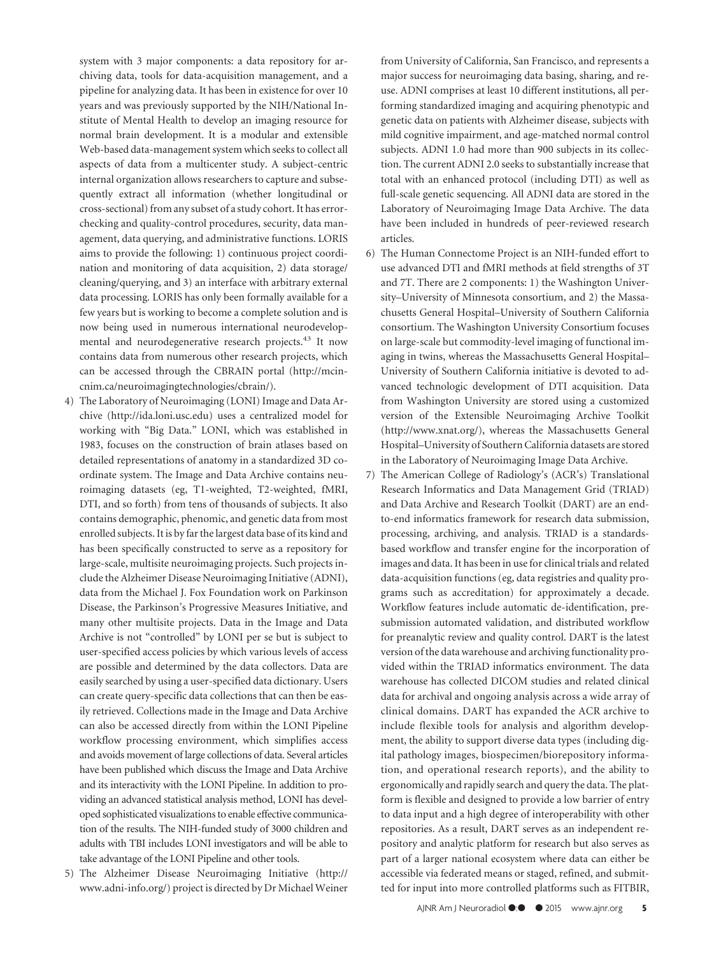system with 3 major components: a data repository for archiving data, tools for data-acquisition management, and a pipeline for analyzing data. It has been in existence for over 10 years and was previously supported by the NIH/National Institute of Mental Health to develop an imaging resource for normal brain development. It is a modular and extensible Web-based data-management system which seeks to collect all aspects of data from a multicenter study. A subject-centric internal organization allows researchers to capture and subsequently extract all information (whether longitudinal or cross-sectional) from any subset of a study cohort. It has errorchecking and quality-control procedures, security, data management, data querying, and administrative functions. LORIS aims to provide the following: 1) continuous project coordination and monitoring of data acquisition, 2) data storage/ cleaning/querying, and 3) an interface with arbitrary external data processing. LORIS has only been formally available for a few years but is working to become a complete solution and is now being used in numerous international neurodevelopmental and neurodegenerative research projects.<sup>43</sup> It now contains data from numerous other research projects, which can be accessed through the CBRAIN portal (http://mcincnim.ca/neuroimagingtechnologies/cbrain/).

- 4) The Laboratory of Neuroimaging (LONI) Image and Data Archive (http://ida.loni.usc.edu) uses a centralized model for working with "Big Data." LONI, which was established in 1983, focuses on the construction of brain atlases based on detailed representations of anatomy in a standardized 3D coordinate system. The Image and Data Archive contains neuroimaging datasets (eg, T1-weighted, T2-weighted, fMRI, DTI, and so forth) from tens of thousands of subjects. It also contains demographic, phenomic, and genetic data from most enrolled subjects. It is by far the largest data base of its kind and has been specifically constructed to serve as a repository for large-scale, multisite neuroimaging projects. Such projects include the Alzheimer Disease Neuroimaging Initiative (ADNI), data from the Michael J. Fox Foundation work on Parkinson Disease, the Parkinson's Progressive Measures Initiative, and many other multisite projects. Data in the Image and Data Archive is not "controlled" by LONI per se but is subject to user-specified access policies by which various levels of access are possible and determined by the data collectors. Data are easily searched by using a user-specified data dictionary. Users can create query-specific data collections that can then be easily retrieved. Collections made in the Image and Data Archive can also be accessed directly from within the LONI Pipeline workflow processing environment, which simplifies access and avoids movement of large collections of data. Several articles have been published which discuss the Image and Data Archive and its interactivity with the LONI Pipeline. In addition to providing an advanced statistical analysis method, LONI has developed sophisticated visualizations to enable effective communication of the results. The NIH-funded study of 3000 children and adults with TBI includes LONI investigators and will be able to take advantage of the LONI Pipeline and other tools.
- 5) The Alzheimer Disease Neuroimaging Initiative (http:// www.adni-info.org/) project is directed by Dr Michael Weiner

from University of California, San Francisco, and represents a major success for neuroimaging data basing, sharing, and reuse. ADNI comprises at least 10 different institutions, all performing standardized imaging and acquiring phenotypic and genetic data on patients with Alzheimer disease, subjects with mild cognitive impairment, and age-matched normal control subjects. ADNI 1.0 had more than 900 subjects in its collection. The current ADNI 2.0 seeks to substantially increase that total with an enhanced protocol (including DTI) as well as full-scale genetic sequencing. All ADNI data are stored in the Laboratory of Neuroimaging Image Data Archive. The data have been included in hundreds of peer-reviewed research articles.

- 6) The Human Connectome Project is an NIH-funded effort to use advanced DTI and fMRI methods at field strengths of 3T and 7T. There are 2 components: 1) the Washington University–University of Minnesota consortium, and 2) the Massachusetts General Hospital–University of Southern California consortium. The Washington University Consortium focuses on large-scale but commodity-level imaging of functional imaging in twins, whereas the Massachusetts General Hospital– University of Southern California initiative is devoted to advanced technologic development of DTI acquisition. Data from Washington University are stored using a customized version of the Extensible Neuroimaging Archive Toolkit (http://www.xnat.org/), whereas the Massachusetts General Hospital–University of Southern California datasets are stored in the Laboratory of Neuroimaging Image Data Archive.
- 7) The American College of Radiology's (ACR's) Translational Research Informatics and Data Management Grid (TRIAD) and Data Archive and Research Toolkit (DART) are an endto-end informatics framework for research data submission, processing, archiving, and analysis. TRIAD is a standardsbased workflow and transfer engine for the incorporation of images and data. It has been in use for clinical trials and related data-acquisition functions (eg, data registries and quality programs such as accreditation) for approximately a decade. Workflow features include automatic de-identification, presubmission automated validation, and distributed workflow for preanalytic review and quality control. DART is the latest version of the data warehouse and archiving functionality provided within the TRIAD informatics environment. The data warehouse has collected DICOM studies and related clinical data for archival and ongoing analysis across a wide array of clinical domains. DART has expanded the ACR archive to include flexible tools for analysis and algorithm development, the ability to support diverse data types (including digital pathology images, biospecimen/biorepository information, and operational research reports), and the ability to ergonomically and rapidly search and query the data. The platform is flexible and designed to provide a low barrier of entry to data input and a high degree of interoperability with other repositories. As a result, DART serves as an independent repository and analytic platform for research but also serves as part of a larger national ecosystem where data can either be accessible via federated means or staged, refined, and submitted for input into more controlled platforms such as FITBIR,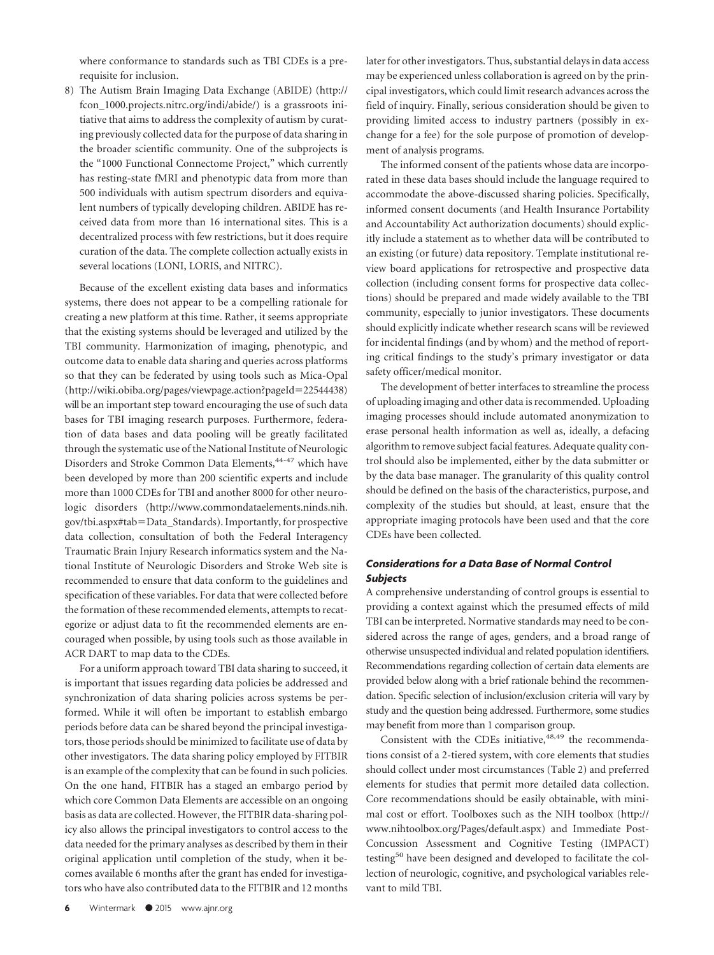where conformance to standards such as TBI CDEs is a prerequisite for inclusion.

8) The Autism Brain Imaging Data Exchange (ABIDE) (http:// fcon\_1000.projects.nitrc.org/indi/abide/) is a grassroots initiative that aims to address the complexity of autism by curating previously collected data for the purpose of data sharing in the broader scientific community. One of the subprojects is the "1000 Functional Connectome Project," which currently has resting-state fMRI and phenotypic data from more than 500 individuals with autism spectrum disorders and equivalent numbers of typically developing children. ABIDE has received data from more than 16 international sites. This is a decentralized process with few restrictions, but it does require curation of the data. The complete collection actually exists in several locations (LONI, LORIS, and NITRC).

Because of the excellent existing data bases and informatics systems, there does not appear to be a compelling rationale for creating a new platform at this time. Rather, it seems appropriate that the existing systems should be leveraged and utilized by the TBI community. Harmonization of imaging, phenotypic, and outcome data to enable data sharing and queries across platforms so that they can be federated by using tools such as Mica-Opal [\(http://wiki.obiba.org/pages/viewpage.action?pageId](http://wiki.obiba.org/pages/viewpage.action?pageId=22544438)-22544438) will be an important step toward encouraging the use of such data bases for TBI imaging research purposes. Furthermore, federation of data bases and data pooling will be greatly facilitated through the systematic use of the National Institute of Neurologic Disorders and Stroke Common Data Elements,  $44-47$  which have been developed by more than 200 scientific experts and include more than 1000 CDEs for TBI and another 8000 for other neurologic disorders [\(http://www.commondataelements.ninds.nih.](http://www.commondataelements.ninds.nih.gov/tbi.aspx#tab=Data_Standards) [gov/tbi.aspx#tab](http://www.commondataelements.ninds.nih.gov/tbi.aspx#tab=Data_Standards)-Data\_Standards). Importantly, for prospective data collection, consultation of both the Federal Interagency Traumatic Brain Injury Research informatics system and the National Institute of Neurologic Disorders and Stroke Web site is recommended to ensure that data conform to the guidelines and specification of these variables. For data that were collected before the formation of these recommended elements, attempts to recategorize or adjust data to fit the recommended elements are encouraged when possible, by using tools such as those available in ACR DART to map data to the CDEs.

For a uniform approach toward TBI data sharing to succeed, it is important that issues regarding data policies be addressed and synchronization of data sharing policies across systems be performed. While it will often be important to establish embargo periods before data can be shared beyond the principal investigators, those periods should be minimized to facilitate use of data by other investigators. The data sharing policy employed by FITBIR is an example of the complexity that can be found in such policies. On the one hand, FITBIR has a staged an embargo period by which core Common Data Elements are accessible on an ongoing basis as data are collected. However, the FITBIR data-sharing policy also allows the principal investigators to control access to the data needed for the primary analyses as described by them in their original application until completion of the study, when it becomes available 6 months after the grant has ended for investigators who have also contributed data to the FITBIR and 12 months

later for other investigators. Thus, substantial delays in data access may be experienced unless collaboration is agreed on by the principal investigators, which could limit research advances across the field of inquiry. Finally, serious consideration should be given to providing limited access to industry partners (possibly in exchange for a fee) for the sole purpose of promotion of development of analysis programs.

The informed consent of the patients whose data are incorporated in these data bases should include the language required to accommodate the above-discussed sharing policies. Specifically, informed consent documents (and Health Insurance Portability and Accountability Act authorization documents) should explicitly include a statement as to whether data will be contributed to an existing (or future) data repository. Template institutional review board applications for retrospective and prospective data collection (including consent forms for prospective data collections) should be prepared and made widely available to the TBI community, especially to junior investigators. These documents should explicitly indicate whether research scans will be reviewed for incidental findings (and by whom) and the method of reporting critical findings to the study's primary investigator or data safety officer/medical monitor.

The development of better interfaces to streamline the process of uploading imaging and other data is recommended. Uploading imaging processes should include automated anonymization to erase personal health information as well as, ideally, a defacing algorithm to remove subject facial features. Adequate quality control should also be implemented, either by the data submitter or by the data base manager. The granularity of this quality control should be defined on the basis of the characteristics, purpose, and complexity of the studies but should, at least, ensure that the appropriate imaging protocols have been used and that the core CDEs have been collected.

## *Considerations for a Data Base of Normal Control Subjects*

A comprehensive understanding of control groups is essential to providing a context against which the presumed effects of mild TBI can be interpreted. Normative standards may need to be considered across the range of ages, genders, and a broad range of otherwise unsuspected individual and related population identifiers. Recommendations regarding collection of certain data elements are provided below along with a brief rationale behind the recommendation. Specific selection of inclusion/exclusion criteria will vary by study and the question being addressed. Furthermore, some studies may benefit from more than 1 comparison group.

Consistent with the CDEs initiative,  $48,49$  the recommendations consist of a 2-tiered system, with core elements that studies should collect under most circumstances (Table 2) and preferred elements for studies that permit more detailed data collection. Core recommendations should be easily obtainable, with minimal cost or effort. Toolboxes such as the NIH toolbox (http:// www.nihtoolbox.org/Pages/default.aspx) and Immediate Post-Concussion Assessment and Cognitive Testing (IMPACT) testing<sup>50</sup> have been designed and developed to facilitate the collection of neurologic, cognitive, and psychological variables relevant to mild TBI.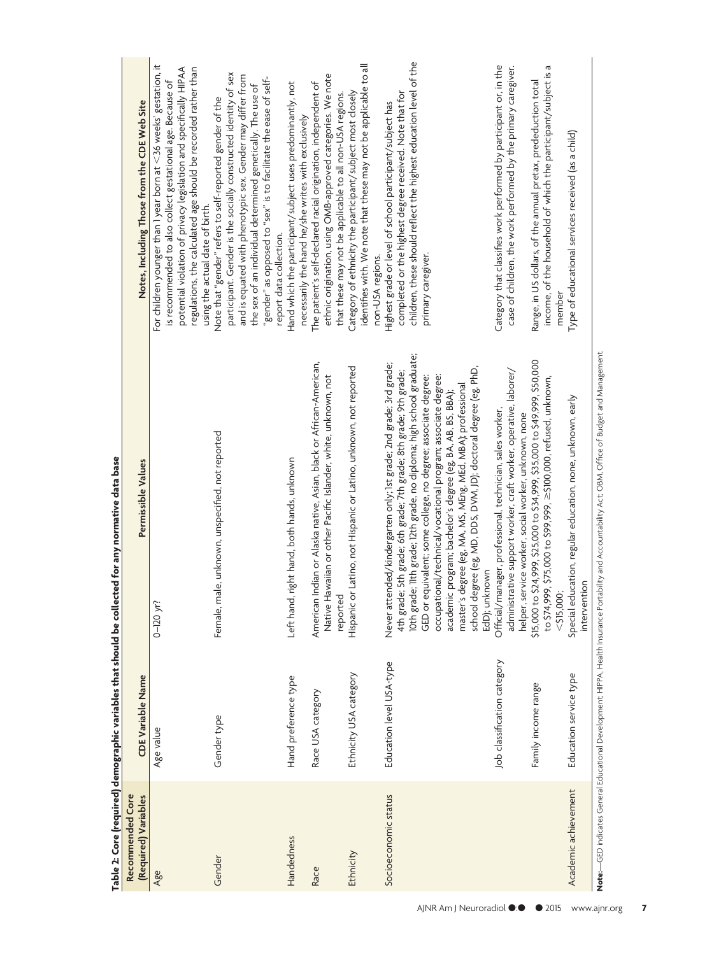|                                          |                             | Table 2: Core (required) demographic variables that should be collected for any normative data base                                                                                                                                                                                                                                                                                                                                                                                                                                                               |                                                                                                                                                                                                                                                                                                                                                        |
|------------------------------------------|-----------------------------|-------------------------------------------------------------------------------------------------------------------------------------------------------------------------------------------------------------------------------------------------------------------------------------------------------------------------------------------------------------------------------------------------------------------------------------------------------------------------------------------------------------------------------------------------------------------|--------------------------------------------------------------------------------------------------------------------------------------------------------------------------------------------------------------------------------------------------------------------------------------------------------------------------------------------------------|
| Recommended Core<br>(Required) Variables | <b>CDE Variable Name</b>    | Permissible Values                                                                                                                                                                                                                                                                                                                                                                                                                                                                                                                                                | Notes, Including Those from the CDE Web Site                                                                                                                                                                                                                                                                                                           |
| Age                                      | Age value                   | $0 - 120$ yr?                                                                                                                                                                                                                                                                                                                                                                                                                                                                                                                                                     | For children younger than I year born at $<$ 36 weeks' gestation, it<br>potential violation of privacy legislation and specifically HIPAA<br>regulations, the calculated age should be recorded rather than<br>is recommended to also collect gestational age. Because of<br>using the actual date of birth.                                           |
| Gender                                   | Gender type                 | Female, male, unknown, unspecified, not reported                                                                                                                                                                                                                                                                                                                                                                                                                                                                                                                  | participant. Gender is the socially constructed identity of sex<br>and is equated with phenotypic sex. Gender may differ from<br>"gender" as opposed to "sex" is to facilitate the ease of self-<br>the sex of an individual determined genetically. The use of<br>Note that "gender" refers to self-reported gender of the<br>report data collection. |
| Handedness                               | Hand preference type        | right hand, both hands, unknown<br>Left hand,                                                                                                                                                                                                                                                                                                                                                                                                                                                                                                                     | Hand which the participant/subject uses predominantly, not<br>necessarily the hand he/she writes with exclusively                                                                                                                                                                                                                                      |
| Race                                     | Race USA category           | American Indian or Alaska native, Asian, black or African-American,<br>Native Hawaiian or other Pacific Islander, white, unknown, not<br>reported                                                                                                                                                                                                                                                                                                                                                                                                                 | ethnic origination, using OMB-approved categories. We note<br>The patient's self-declared racial origination, independent of<br>that these may not be applicable to all non-USA regions.                                                                                                                                                               |
| Ethnicity                                | Ethnicity USA category      | Hispanic or Latino, not Hispanic or Latino, unknown, not reported                                                                                                                                                                                                                                                                                                                                                                                                                                                                                                 | identifies with. We note that these may not be applicable to all<br>Category of ethnicity the participant/subject most closely<br>non-USA regions.                                                                                                                                                                                                     |
| Socioeconomic status                     | Education level USA-type    | 10th grade; 11th grade; 12th grade, no diploma; high school graduate;<br>Never attended/kindergarten only; Ist grade; 2nd grade; 3rd grade;<br>school degree (eg, MD, DDS, DVM, JD); doctoral degree (eg, PhD,<br>4th grade; 5th grade; 6th grade; 7th grade; 8th grade; 9th grade;<br>occupational/technical/vocational program; associate degree:<br>GED or equivalent; some college, no degree; associate degree:<br>master's degree (eg, MA, MS, MEng, MEd, MBA); professional<br>academic program; bachelor's degree (eg, BA, AB, BS, BBA);<br>EdD); unknown | children, these should reflect the highest education level of the<br>completed or the highest degree received. Note that for<br>Highest grade or level of school participant/subject has<br>primary caregiver.                                                                                                                                         |
|                                          | Job classification category | administrative support worker, craft worker, operative, laborer/<br>Official/manager, professional, technician, sales worker,<br>helper, service worker, social worker, unknown, none                                                                                                                                                                                                                                                                                                                                                                             | Category that classifies work performed by participant or, in the<br>case of children, the work performed by the primary caregiver.                                                                                                                                                                                                                    |
|                                          | Family income range         | \$15,000 to \$24,999, \$25,000 to \$34,999, \$35,000 to \$49,999, \$50,000<br>to \$74,999, \$75,000 to \$99,999, ≥\$100,000, refused, unknown,<br>$<$ \$15,000                                                                                                                                                                                                                                                                                                                                                                                                    | $\, \varpi \,$<br>income, of the household of which the participant/subject is<br>Range, in US dollars, of the annual pretax, prededuction total<br>member                                                                                                                                                                                             |
| Academic achievement                     | Education service type      | Special education, regular education, none, unknown, early<br>intervention                                                                                                                                                                                                                                                                                                                                                                                                                                                                                        | Type of educational services received (as a child)                                                                                                                                                                                                                                                                                                     |
|                                          |                             | Note:—GED indicates General Educational Development; HIPPA, Health Insurance Portability and Accountability Act; OBM, Office of Budget and Management.                                                                                                                                                                                                                                                                                                                                                                                                            |                                                                                                                                                                                                                                                                                                                                                        |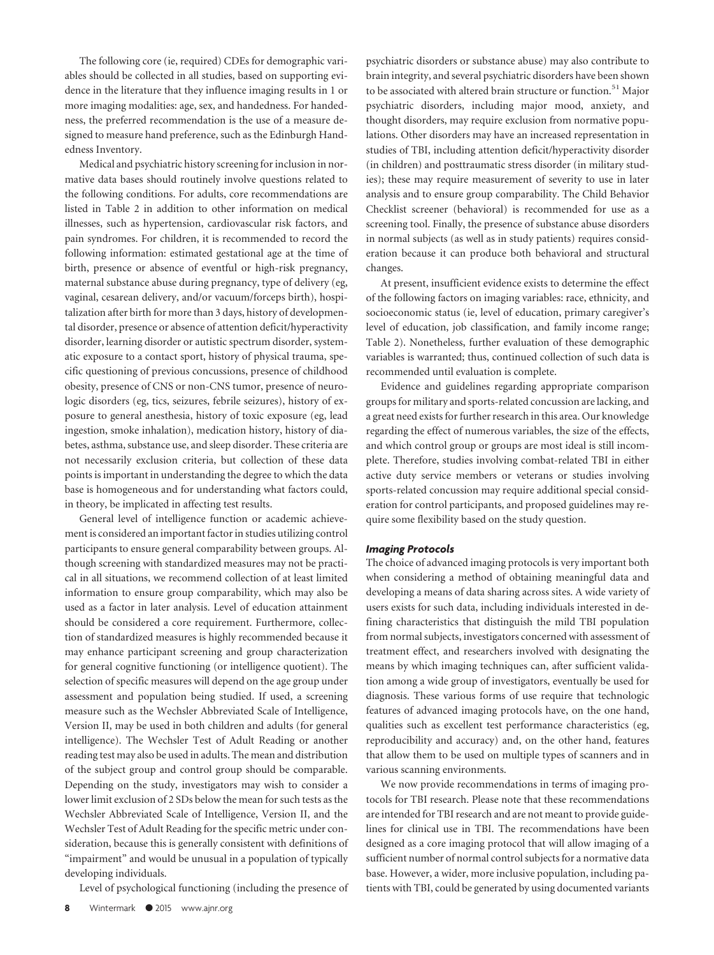The following core (ie, required) CDEs for demographic variables should be collected in all studies, based on supporting evidence in the literature that they influence imaging results in 1 or more imaging modalities: age, sex, and handedness. For handedness, the preferred recommendation is the use of a measure designed to measure hand preference, such as the Edinburgh Handedness Inventory.

Medical and psychiatric history screening for inclusion in normative data bases should routinely involve questions related to the following conditions. For adults, core recommendations are listed in Table 2 in addition to other information on medical illnesses, such as hypertension, cardiovascular risk factors, and pain syndromes. For children, it is recommended to record the following information: estimated gestational age at the time of birth, presence or absence of eventful or high-risk pregnancy, maternal substance abuse during pregnancy, type of delivery (eg, vaginal, cesarean delivery, and/or vacuum/forceps birth), hospitalization after birth for more than 3 days, history of developmental disorder, presence or absence of attention deficit/hyperactivity disorder, learning disorder or autistic spectrum disorder, systematic exposure to a contact sport, history of physical trauma, specific questioning of previous concussions, presence of childhood obesity, presence of CNS or non-CNS tumor, presence of neurologic disorders (eg, tics, seizures, febrile seizures), history of exposure to general anesthesia, history of toxic exposure (eg, lead ingestion, smoke inhalation), medication history, history of diabetes, asthma, substance use, and sleep disorder. These criteria are not necessarily exclusion criteria, but collection of these data points is important in understanding the degree to which the data base is homogeneous and for understanding what factors could, in theory, be implicated in affecting test results.

General level of intelligence function or academic achievement is considered an important factor in studies utilizing control participants to ensure general comparability between groups. Although screening with standardized measures may not be practical in all situations, we recommend collection of at least limited information to ensure group comparability, which may also be used as a factor in later analysis. Level of education attainment should be considered a core requirement. Furthermore, collection of standardized measures is highly recommended because it may enhance participant screening and group characterization for general cognitive functioning (or intelligence quotient). The selection of specific measures will depend on the age group under assessment and population being studied. If used, a screening measure such as the Wechsler Abbreviated Scale of Intelligence, Version II, may be used in both children and adults (for general intelligence). The Wechsler Test of Adult Reading or another reading test may also be used in adults. The mean and distribution of the subject group and control group should be comparable. Depending on the study, investigators may wish to consider a lower limit exclusion of 2 SDs below the mean for such tests as the Wechsler Abbreviated Scale of Intelligence, Version II, and the Wechsler Test of Adult Reading for the specific metric under consideration, because this is generally consistent with definitions of "impairment" and would be unusual in a population of typically developing individuals.

Level of psychological functioning (including the presence of

psychiatric disorders or substance abuse) may also contribute to brain integrity, and several psychiatric disorders have been shown to be associated with altered brain structure or function.<sup>51</sup> Major psychiatric disorders, including major mood, anxiety, and thought disorders, may require exclusion from normative populations. Other disorders may have an increased representation in studies of TBI, including attention deficit/hyperactivity disorder (in children) and posttraumatic stress disorder (in military studies); these may require measurement of severity to use in later analysis and to ensure group comparability. The Child Behavior Checklist screener (behavioral) is recommended for use as a screening tool. Finally, the presence of substance abuse disorders in normal subjects (as well as in study patients) requires consideration because it can produce both behavioral and structural changes.

At present, insufficient evidence exists to determine the effect of the following factors on imaging variables: race, ethnicity, and socioeconomic status (ie, level of education, primary caregiver's level of education, job classification, and family income range; Table 2). Nonetheless, further evaluation of these demographic variables is warranted; thus, continued collection of such data is recommended until evaluation is complete.

Evidence and guidelines regarding appropriate comparison groups for military and sports-related concussion are lacking, and a great need exists for further research in this area. Our knowledge regarding the effect of numerous variables, the size of the effects, and which control group or groups are most ideal is still incomplete. Therefore, studies involving combat-related TBI in either active duty service members or veterans or studies involving sports-related concussion may require additional special consideration for control participants, and proposed guidelines may require some flexibility based on the study question.

#### *Imaging Protocols*

The choice of advanced imaging protocols is very important both when considering a method of obtaining meaningful data and developing a means of data sharing across sites. A wide variety of users exists for such data, including individuals interested in defining characteristics that distinguish the mild TBI population from normal subjects, investigators concerned with assessment of treatment effect, and researchers involved with designating the means by which imaging techniques can, after sufficient validation among a wide group of investigators, eventually be used for diagnosis. These various forms of use require that technologic features of advanced imaging protocols have, on the one hand, qualities such as excellent test performance characteristics (eg, reproducibility and accuracy) and, on the other hand, features that allow them to be used on multiple types of scanners and in various scanning environments.

We now provide recommendations in terms of imaging protocols for TBI research. Please note that these recommendations are intended for TBI research and are not meant to provide guidelines for clinical use in TBI. The recommendations have been designed as a core imaging protocol that will allow imaging of a sufficient number of normal control subjects for a normative data base. However, a wider, more inclusive population, including patients with TBI, could be generated by using documented variants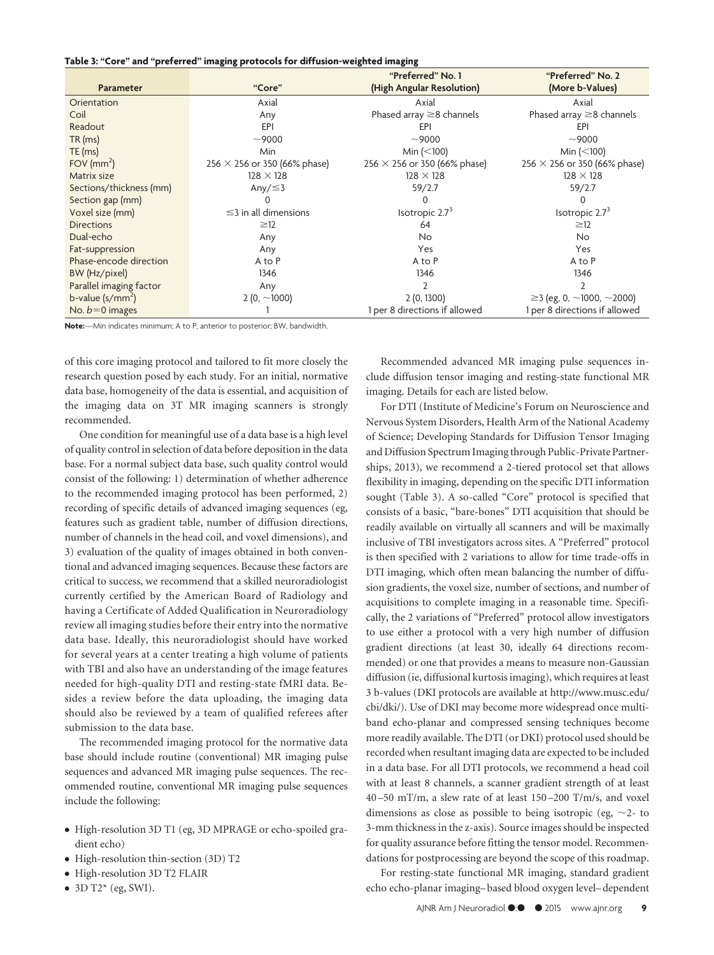| Table 3: "Core" and "preferred" imaging protocols for diffusion-weighted imaging |  |  |  |  |  |  |
|----------------------------------------------------------------------------------|--|--|--|--|--|--|
|----------------------------------------------------------------------------------|--|--|--|--|--|--|

|                         |                                     | "Preferred" No. 1                   | "Preferred" No. 2                   |
|-------------------------|-------------------------------------|-------------------------------------|-------------------------------------|
| <b>Parameter</b>        | "Core"                              | (High Angular Resolution)           | (More b-Values)                     |
| Orientation             | Axial                               | Axial                               | Axial                               |
| Coil                    | Any                                 | Phased array $\geq$ 8 channels      | Phased array $\geq$ 8 channels      |
| Readout                 | <b>EPI</b>                          | EPI                                 | EPI                                 |
| $TR$ (ms)               | ~10000                              | ~10000                              | ~10000                              |
| $TE$ (ms)               | Min                                 | Min $(<100)$                        | Min $(<100)$                        |
| FOV ( $mm2$ )           | $256 \times 256$ or 350 (66% phase) | 256 $\times$ 256 or 350 (66% phase) | 256 $\times$ 256 or 350 (66% phase) |
| Matrix size             | $128 \times 128$                    | $128 \times 128$                    | $128 \times 128$                    |
| Sections/thickness (mm) | Any/ $\leq$ 3                       | 59/2.7                              | 59/2.7                              |
| Section gap (mm)        |                                     | 0                                   | 0                                   |
| Voxel size (mm)         | $\leq$ 3 in all dimensions          | Isotropic $2.73$                    | Isotropic $2.73$                    |
| <b>Directions</b>       | $\geq$ 12                           | 64                                  | $\geq$ 12                           |
| Dual-echo               | Any                                 | <b>No</b>                           | <b>No</b>                           |
| Fat-suppression         | Any                                 | Yes                                 | Yes                                 |
| Phase-encode direction  | A to P                              | A to P                              | A to P                              |
| BW (Hz/pixel)           | 1346                                | 1346                                | 1346                                |
| Parallel imaging factor | Any                                 |                                     |                                     |
| b-value $(s/mm2)$       | $2(0, \sim 1000)$                   | 2(0, 1300)                          | $\geq$ 3 (eg, 0, ~1000, ~2000)      |
| No. $b=0$ images        |                                     | 1 per 8 directions if allowed       | 1 per 8 directions if allowed       |

**Note:**—Min indicates minimum; A to P, anterior to posterior; BW, bandwidth.

of this core imaging protocol and tailored to fit more closely the research question posed by each study. For an initial, normative data base, homogeneity of the data is essential, and acquisition of the imaging data on 3T MR imaging scanners is strongly recommended.

One condition for meaningful use of a data base is a high level of quality control in selection of data before deposition in the data base. For a normal subject data base, such quality control would consist of the following: 1) determination of whether adherence to the recommended imaging protocol has been performed, 2) recording of specific details of advanced imaging sequences (eg, features such as gradient table, number of diffusion directions, number of channels in the head coil, and voxel dimensions), and 3) evaluation of the quality of images obtained in both conventional and advanced imaging sequences. Because these factors are critical to success, we recommend that a skilled neuroradiologist currently certified by the American Board of Radiology and having a Certificate of Added Qualification in Neuroradiology review all imaging studies before their entry into the normative data base. Ideally, this neuroradiologist should have worked for several years at a center treating a high volume of patients with TBI and also have an understanding of the image features needed for high-quality DTI and resting-state fMRI data. Besides a review before the data uploading, the imaging data should also be reviewed by a team of qualified referees after submission to the data base.

The recommended imaging protocol for the normative data base should include routine (conventional) MR imaging pulse sequences and advanced MR imaging pulse sequences. The recommended routine, conventional MR imaging pulse sequences include the following:

- High-resolution 3D T1 (eg, 3D MPRAGE or echo-spoiled gradient echo)
- High-resolution thin-section (3D) T2
- High-resolution 3D T2 FLAIR
- $\bullet$  3D T2\* (eg, SWI).

Recommended advanced MR imaging pulse sequences include diffusion tensor imaging and resting-state functional MR imaging. Details for each are listed below.

For DTI (Institute of Medicine's Forum on Neuroscience and Nervous System Disorders, Health Arm of the National Academy of Science; Developing Standards for Diffusion Tensor Imaging and Diffusion Spectrum Imaging through Public-Private Partnerships, 2013), we recommend a 2-tiered protocol set that allows flexibility in imaging, depending on the specific DTI information sought (Table 3). A so-called "Core" protocol is specified that consists of a basic, "bare-bones" DTI acquisition that should be readily available on virtually all scanners and will be maximally inclusive of TBI investigators across sites. A "Preferred" protocol is then specified with 2 variations to allow for time trade-offs in DTI imaging, which often mean balancing the number of diffusion gradients, the voxel size, number of sections, and number of acquisitions to complete imaging in a reasonable time. Specifically, the 2 variations of "Preferred" protocol allow investigators to use either a protocol with a very high number of diffusion gradient directions (at least 30, ideally 64 directions recommended) or one that provides a means to measure non-Gaussian diffusion (ie, diffusional kurtosis imaging), which requires at least 3 b-values (DKI protocols are available at http://www.musc.edu/ cbi/dki/). Use of DKI may become more widespread once multiband echo-planar and compressed sensing techniques become more readily available. The DTI (or DKI) protocol used should be recorded when resultant imaging data are expected to be included in a data base. For all DTI protocols, we recommend a head coil with at least 8 channels, a scanner gradient strength of at least 40 –50 mT/m, a slew rate of at least 150 –200 T/m/s, and voxel dimensions as close as possible to being isotropic (eg,  $\sim$ 2- to 3-mm thickness in the z-axis). Source images should be inspected for quality assurance before fitting the tensor model. Recommendations for postprocessing are beyond the scope of this roadmap.

For resting-state functional MR imaging, standard gradient echo echo-planar imaging– based blood oxygen level– dependent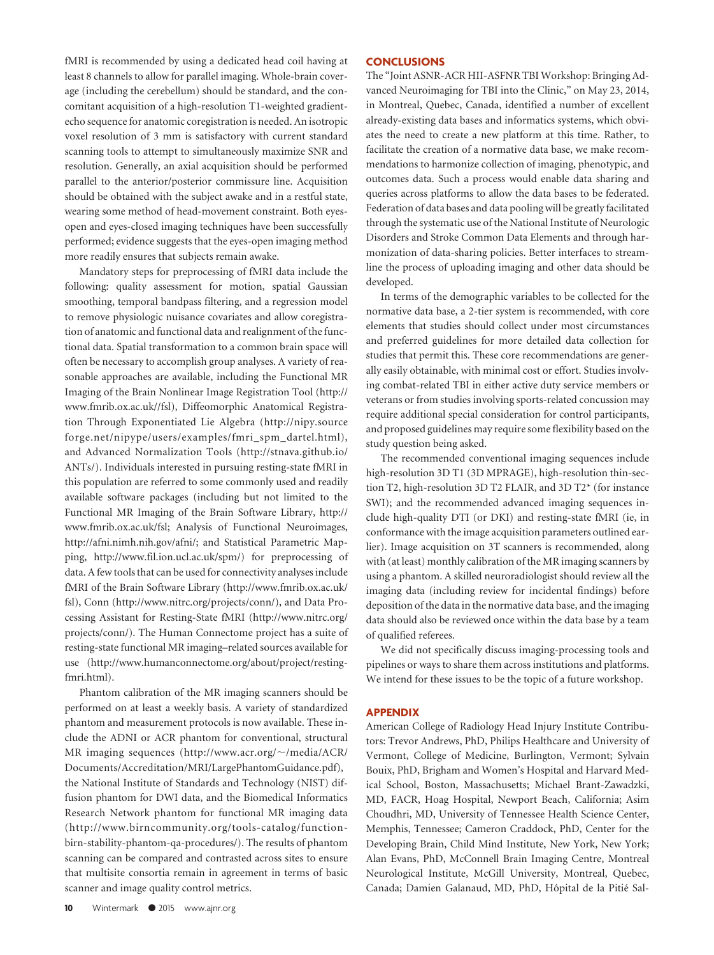fMRI is recommended by using a dedicated head coil having at least 8 channels to allow for parallel imaging. Whole-brain coverage (including the cerebellum) should be standard, and the concomitant acquisition of a high-resolution T1-weighted gradientecho sequence for anatomic coregistration is needed. An isotropic voxel resolution of 3 mm is satisfactory with current standard scanning tools to attempt to simultaneously maximize SNR and resolution. Generally, an axial acquisition should be performed parallel to the anterior/posterior commissure line. Acquisition should be obtained with the subject awake and in a restful state, wearing some method of head-movement constraint. Both eyesopen and eyes-closed imaging techniques have been successfully performed; evidence suggests that the eyes-open imaging method more readily ensures that subjects remain awake.

Mandatory steps for preprocessing of fMRI data include the following: quality assessment for motion, spatial Gaussian smoothing, temporal bandpass filtering, and a regression model to remove physiologic nuisance covariates and allow coregistration of anatomic and functional data and realignment of the functional data. Spatial transformation to a common brain space will often be necessary to accomplish group analyses. A variety of reasonable approaches are available, including the Functional MR Imaging of the Brain Nonlinear Image Registration Tool (http:// www.fmrib.ox.ac.uk//fsl), Diffeomorphic Anatomical Registration Through Exponentiated Lie Algebra [\(http://nipy.source](http://nipy.sourceforge.net/nipype/users/examples/fmri_spm_dartel.html) [forge.net/nipype/users/examples/fmri\\_spm\\_dartel.html\)](http://nipy.sourceforge.net/nipype/users/examples/fmri_spm_dartel.html), and Advanced Normalization Tools (http://stnava.github.io/ ANTs/). Individuals interested in pursuing resting-state fMRI in this population are referred to some commonly used and readily available software packages (including but not limited to the Functional MR Imaging of the Brain Software Library, [http://](http://www.fmrib.ox.ac.uk/fsl) [www.fmrib.ox.ac.uk/fsl;](http://www.fmrib.ox.ac.uk/fsl) Analysis of Functional Neuroimages, [http://afni.nimh.nih.gov/afni/;](http://afni.nimh.nih.gov/afni/) and Statistical Parametric Mapping, [http://www.fil.ion.ucl.ac.uk/spm/\)](http://www.fil.ion.ucl.ac.uk/spm/) for preprocessing of data. A few tools that can be used for connectivity analyses include fMRI of the Brain Software Library (http://www.fmrib.ox.ac.uk/ fsl), Conn (http://www.nitrc.org/projects/conn/), and Data Processing Assistant for Resting-State fMRI (http://www.nitrc.org/ projects/conn/). The Human Connectome project has a suite of resting-state functional MR imaging–related sources available for use (http://www.humanconnectome.org/about/project/restingfmri.html).

Phantom calibration of the MR imaging scanners should be performed on at least a weekly basis. A variety of standardized phantom and measurement protocols is now available. These include the ADNI or ACR phantom for conventional, structural MR imaging sequences [\(http://www.acr.org/](http://www.acr.org/∼/media/ACR/Documents/Accreditation/MRI/LargePhantomGuidance.pdf)~/media/ACR/ [Documents/Accreditation/MRI/LargePhantomGuidance.pdf\)](http://www.acr.org/∼/media/ACR/Documents/Accreditation/MRI/LargePhantomGuidance.pdf), the National Institute of Standards and Technology (NIST) diffusion phantom for DWI data, and the Biomedical Informatics Research Network phantom for functional MR imaging data [\(http://www.birncommunity.org/tools-catalog/function](http://www.birncommunity.org/tools-catalog/function-birn-stability-phantom-qa-procedures/)[birn-stability-phantom-qa-procedures/\)](http://www.birncommunity.org/tools-catalog/function-birn-stability-phantom-qa-procedures/). The results of phantom scanning can be compared and contrasted across sites to ensure that multisite consortia remain in agreement in terms of basic scanner and image quality control metrics.

#### **CONCLUSIONS**

The "Joint ASNR-ACR HII-ASFNR TBI Workshop: Bringing Advanced Neuroimaging for TBI into the Clinic," on May 23, 2014, in Montreal, Quebec, Canada, identified a number of excellent already-existing data bases and informatics systems, which obviates the need to create a new platform at this time. Rather, to facilitate the creation of a normative data base, we make recommendations to harmonize collection of imaging, phenotypic, and outcomes data. Such a process would enable data sharing and queries across platforms to allow the data bases to be federated. Federation of data bases and data pooling will be greatly facilitated through the systematic use of the National Institute of Neurologic Disorders and Stroke Common Data Elements and through harmonization of data-sharing policies. Better interfaces to streamline the process of uploading imaging and other data should be developed.

In terms of the demographic variables to be collected for the normative data base, a 2-tier system is recommended, with core elements that studies should collect under most circumstances and preferred guidelines for more detailed data collection for studies that permit this. These core recommendations are generally easily obtainable, with minimal cost or effort. Studies involving combat-related TBI in either active duty service members or veterans or from studies involving sports-related concussion may require additional special consideration for control participants, and proposed guidelines may require some flexibility based on the study question being asked.

The recommended conventional imaging sequences include high-resolution 3D T1 (3D MPRAGE), high-resolution thin-section T2, high-resolution 3D T2 FLAIR, and 3D T2\* (for instance SWI); and the recommended advanced imaging sequences include high-quality DTI (or DKI) and resting-state fMRI (ie, in conformance with the image acquisition parameters outlined earlier). Image acquisition on 3T scanners is recommended, along with (at least) monthly calibration of the MR imaging scanners by using a phantom. A skilled neuroradiologist should review all the imaging data (including review for incidental findings) before deposition of the data in the normative data base, and the imaging data should also be reviewed once within the data base by a team of qualified referees.

We did not specifically discuss imaging-processing tools and pipelines or ways to share them across institutions and platforms. We intend for these issues to be the topic of a future workshop.

#### **APPENDIX**

American College of Radiology Head Injury Institute Contributors: Trevor Andrews, PhD, Philips Healthcare and University of Vermont, College of Medicine, Burlington, Vermont; Sylvain Bouix, PhD, Brigham and Women's Hospital and Harvard Medical School, Boston, Massachusetts; Michael Brant-Zawadzki, MD, FACR, Hoag Hospital, Newport Beach, California; Asim Choudhri, MD, University of Tennessee Health Science Center, Memphis, Tennessee; Cameron Craddock, PhD, Center for the Developing Brain, Child Mind Institute, New York, New York; Alan Evans, PhD, McConnell Brain Imaging Centre, Montreal Neurological Institute, McGill University, Montreal, Quebec, Canada; Damien Galanaud, MD, PhD, Hôpital de la Pitié Sal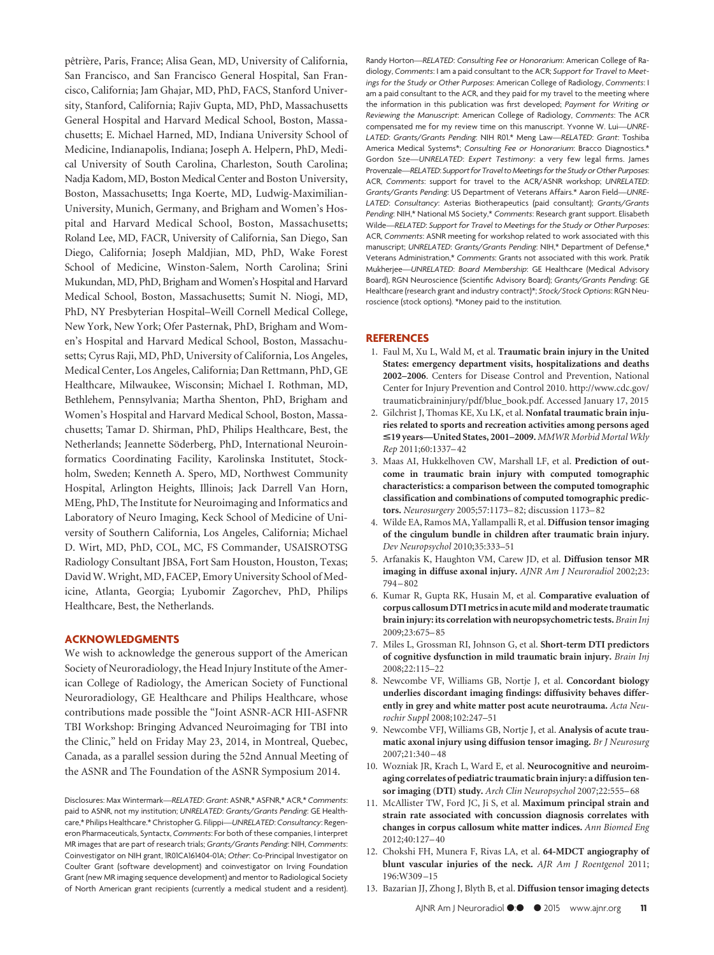pêtrière, Paris, France; Alisa Gean, MD, University of California, San Francisco, and San Francisco General Hospital, San Francisco, California; Jam Ghajar, MD, PhD, FACS, Stanford University, Stanford, California; Rajiv Gupta, MD, PhD, Massachusetts General Hospital and Harvard Medical School, Boston, Massachusetts; E. Michael Harned, MD, Indiana University School of Medicine, Indianapolis, Indiana; Joseph A. Helpern, PhD, Medical University of South Carolina, Charleston, South Carolina; Nadja Kadom, MD, Boston Medical Center and Boston University, Boston, Massachusetts; Inga Koerte, MD, Ludwig-Maximilian-University, Munich, Germany, and Brigham and Women's Hospital and Harvard Medical School, Boston, Massachusetts; Roland Lee, MD, FACR, University of California, San Diego, San Diego, California; Joseph Maldjian, MD, PhD, Wake Forest School of Medicine, Winston-Salem, North Carolina; Srini Mukundan, MD, PhD, Brigham and Women's Hospital and Harvard Medical School, Boston, Massachusetts; Sumit N. Niogi, MD, PhD, NY Presbyterian Hospital–Weill Cornell Medical College, New York, New York; Ofer Pasternak, PhD, Brigham and Women's Hospital and Harvard Medical School, Boston, Massachusetts; Cyrus Raji, MD, PhD, University of California, Los Angeles, Medical Center, Los Angeles, California; Dan Rettmann, PhD, GE Healthcare, Milwaukee, Wisconsin; Michael I. Rothman, MD, Bethlehem, Pennsylvania; Martha Shenton, PhD, Brigham and Women's Hospital and Harvard Medical School, Boston, Massachusetts; Tamar D. Shirman, PhD, Philips Healthcare, Best, the Netherlands; Jeannette Söderberg, PhD, International Neuroinformatics Coordinating Facility, Karolinska Institutet, Stockholm, Sweden; Kenneth A. Spero, MD, Northwest Community Hospital, Arlington Heights, Illinois; Jack Darrell Van Horn, MEng, PhD, The Institute for Neuroimaging and Informatics and Laboratory of Neuro Imaging, Keck School of Medicine of University of Southern California, Los Angeles, California; Michael D. Wirt, MD, PhD, COL, MC, FS Commander, USAISROTSG Radiology Consultant JBSA, Fort Sam Houston, Houston, Texas; David W. Wright, MD, FACEP, Emory University School of Medicine, Atlanta, Georgia; Lyubomir Zagorchev, PhD, Philips Healthcare, Best, the Netherlands.

### **ACKNOWLEDGMENTS**

We wish to acknowledge the generous support of the American Society of Neuroradiology, the Head Injury Institute of the American College of Radiology, the American Society of Functional Neuroradiology, GE Healthcare and Philips Healthcare, whose contributions made possible the "Joint ASNR-ACR HII-ASFNR TBI Workshop: Bringing Advanced Neuroimaging for TBI into the Clinic," held on Friday May 23, 2014, in Montreal, Quebec, Canada, as a parallel session during the 52nd Annual Meeting of the ASNR and The Foundation of the ASNR Symposium 2014.

Disclosures: Max Wintermark—*RELATED*: *Grant*: ASNR,\* ASFNR,\* ACR,\* *Comments*: paid to ASNR, not my institution; *UNRELATED*: *Grants/Grants Pending*: GE Healthcare,\* Philips Healthcare.\* Christopher G. Filippi—*UNRELATED*: *Consultancy*: Regeneron Pharmaceuticals, Syntactx, *Comments*: For both of these companies, I interpret MR images that are part of research trials; *Grants/Grants Pending*: NIH, *Comments*: Coinvestigator on NIH grant, 1R01CA161404-01A; *Other*: Co-Principal Investigator on Coulter Grant (software development) and coinvestigator on Irving Foundation Grant (new MR imaging sequence development) and mentor to Radiological Society of North American grant recipients (currently a medical student and a resident).

Randy Horton—*RELATED*: *Consulting Fee or Honorarium*: American College of Radiology, *Comments*: I am a paid consultant to the ACR; *Support for Travel to Meetings for the Study or Other Purposes*: American College of Radiology, *Comments*: I am a paid consultant to the ACR, and they paid for my travel to the meeting where the information in this publication was first developed; *Payment for Writing or Reviewing the Manuscript*: American College of Radiology, *Comments*: The ACR compensated me for my review time on this manuscript. Yvonne W. Lui—*UNRE-LATED*: *Grants/Grants Pending*: NIH R01.\* Meng Law—*RELATED*: *Grant*: Toshiba America Medical Systems\*; *Consulting Fee or Honorarium*: Bracco Diagnostics.\* Gordon Sze—*UNRELATED*: *Expert Testimony*: a very few legal firms. James Provenzale—*RELATED*: *Support for Travel toMeetings for the Study or Other Purposes*: ACR, *Comments*: support for travel to the ACR/ASNR workshop; *UNRELATED*: *Grants/Grants Pending*: US Department of Veterans Affairs.\* Aaron Field—*UNRE-LATED*: *Consultancy*: Asterias Biotherapeutics (paid consultant); *Grants/Grants Pending*: NIH,\* National MS Society,\* *Comments*: Research grant support. Elisabeth Wilde—*RELATED*: *Support for Travel to Meetings for the Study or Other Purposes*: ACR, *Comments*: ASNR meeting for workshop related to work associated with this manuscript; *UNRELATED*: *Grants/Grants Pending*: NIH,\* Department of Defense,\* Veterans Administration,\* *Comments*: Grants not associated with this work. Pratik Mukherjee—*UNRELATED*: *Board Membership*: GE Healthcare (Medical Advisory Board), RGN Neuroscience (Scientific Advisory Board); *Grants/Grants Pending*: GE Healthcare (research grant and industry contract)\*; *Stock/Stock Options*: RGN Neuroscience (stock options). \*Money paid to the institution.

#### **REFERENCES**

- 1. Faul M, Xu L, Wald M, et al. **Traumatic brain injury in the United States: emergency department visits, hospitalizations and deaths 2002–2006**. Centers for Disease Control and Prevention, National Center for Injury Prevention and Control 2010. http://www.cdc.gov/ traumaticbraininjury/pdf/blue\_book.pdf. Accessed January 17, 2015
- 2. Gilchrist J, Thomas KE, Xu LK, et al. **Nonfatal traumatic brain injuries related to sports and recreation activities among persons aged** <**19 years—United States, 2001–2009.** *MMWR Morbid Mortal Wkly Rep* 2011;60:1337–42
- 3. Maas AI, Hukkelhoven CW, Marshall LF, et al. **Prediction of outcome in traumatic brain injury with computed tomographic characteristics: a comparison between the computed tomographic classification and combinations of computed tomographic predictors.** *Neurosurgery* 2005;57:1173–82; discussion 1173–82
- 4. Wilde EA, Ramos MA, Yallampalli R, et al. **Diffusion tensor imaging of the cingulum bundle in children after traumatic brain injury.** *Dev Neuropsychol* 2010;35:333–51
- 5. Arfanakis K, Haughton VM, Carew JD, et al. **Diffusion tensor MR imaging in diffuse axonal injury.** *AJNR Am J Neuroradiol* 2002;23: 794 –802
- 6. Kumar R, Gupta RK, Husain M, et al. **Comparative evaluation of corpus callosum DTImetricsin acutemild andmoderate traumatic brain injury: its correlation with neuropsychometric tests.** *Brain Inj* 2009;23:675–85
- 7. Miles L, Grossman RI, Johnson G, et al. **Short-term DTI predictors of cognitive dysfunction in mild traumatic brain injury.** *Brain Inj* 2008;22:115–22
- 8. Newcombe VF, Williams GB, Nortje J, et al. **Concordant biology underlies discordant imaging findings: diffusivity behaves differently in grey and white matter post acute neurotrauma.** *Acta Neurochir Suppl* 2008;102:247–51
- 9. Newcombe VFJ, Williams GB, Nortje J, et al. **Analysis of acute traumatic axonal injury using diffusion tensor imaging.** *Br J Neurosurg* 2007;21:340 –48
- 10. Wozniak JR, Krach L, Ward E, et al. **Neurocognitive and neuroimaging correlates of pediatric traumatic brain injury: a diffusion tensor imaging (DTI) study.** *Arch Clin Neuropsychol* 2007;22:555–68
- 11. McAllister TW, Ford JC, Ji S, et al. **Maximum principal strain and strain rate associated with concussion diagnosis correlates with changes in corpus callosum white matter indices.** *Ann Biomed Eng* 2012;40:127–40
- 12. Chokshi FH, Munera F, Rivas LA, et al. **64-MDCT angiography of blunt vascular injuries of the neck.** *AJR Am J Roentgenol* 2011; 196:W309 –15
- 13. Bazarian JJ, Zhong J, Blyth B, et al. **Diffusion tensor imaging detects**